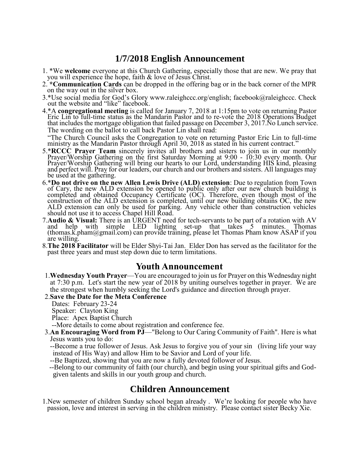## **1/7/2018 English Announcement**

- 1. \*We **welcome** everyone at this Church Gathering, especially those that are new. We pray that you will experience the hope, faith & love of Jesus Christ.
- 2. **\*Communication Cards** can be dropped in the offering bag or in the back corner of the MPR on the way out in the silver box.
- 3.\*Use social media for God's Glory www.raleighccc.org/english; facebook@raleighccc. Check out the website and "like" facebook.
- 4.\*A **congregational meeting** is called for January 7, 2018 at 1:15pm to vote on returning Pastor Eric Lin to full-time status as the Mandarin Pastor and to re-vote the 2018 Operations Budget that includes the mortgage obligation that failed passage on December 3, 2017.No Lunch service. The wording on the ballot to call back Pastor Lin shall read:

 "The Church Council asks the Congregation to vote on returning Pastor Eric Lin to full-time ministry as the Mandarin Pastor through April 30, 2018 as stated in his current contract."

- 5.\***RCCC Prayer Team** sincerely invites all brothers and sisters to join us in our monthly Prayer/Worship Gathering on the first Saturday Morning at 9:00 - 10:30 every month. Our Prayer/Worship Gathering will bring our hearts to our Lord, understanding HIS kind, pleasing and perfect will. Pray for our leaders, our church and our brothers and sisters. All languages may be used at the gathering.
- 6.\***Do not drive on the new Allen Lewis Drive (ALD) extension**: Due to regulation from Town of Cary, the new ALD extension be opened to public only after our new church building is completed and obtained Occupancy Certificate (OC). Therefore, even though most of the construction of the ALD extension is completed, until our new building obtains OC, the new ALD extension can only be used for parking. Any vehicle other than construction vehicles should not use it to access Chapel Hill Road.
- 7.**Audio & Visual:** There is an URGENT need for tech-servants to be part of a rotation with AV and help with simple LED lighting set-up that takes 5 minutes. Thomas (thomas.k.pham@gmail.com) can provide training, please let Thomas Pham know ASAP if you are willing.
- 8.**The 2018 Facilitator** will be Elder Shyi-Tai Jan. Elder Don has served as the facilitator for the past three years and must step down due to term limitations.

### **Youth Announcement**

1.**Wednesday Youth Prayer**—You are encouraged to join us for Prayer on this Wednesday night at 7:30 p.m. Let's start the new year of 2018 by uniting ourselves together in prayer. We are the strongest when humbly seeking the Lord's guidance and direction through prayer.

#### 2.**Save the Date for the Meta Conference**

Dates: February 23-24

Speaker: Clayton King

Place: Apex Baptist Church

--More details to come about registration and conference fee.

- 3.**An Encouraging Word from PJ**—"Belong to Our Caring Community of Faith". Here is what Jesus wants you to do:
	- --Become a true follower of Jesus. Ask Jesus to forgive you of your sin (living life your way instead of His Way) and allow Him to be Savior and Lord of your life.

--Be Baptized, showing that you are now a fully devoted follower of Jesus.

 --Belong to our community of faith (our church), and begin using your spiritual gifts and God given talents and skills in our youth group and church.

## **Children Announcement**

1.New semester of children Sunday school began already . We're looking for people who have passion, love and interest in serving in the children ministry. Please contact sister Becky Xie.